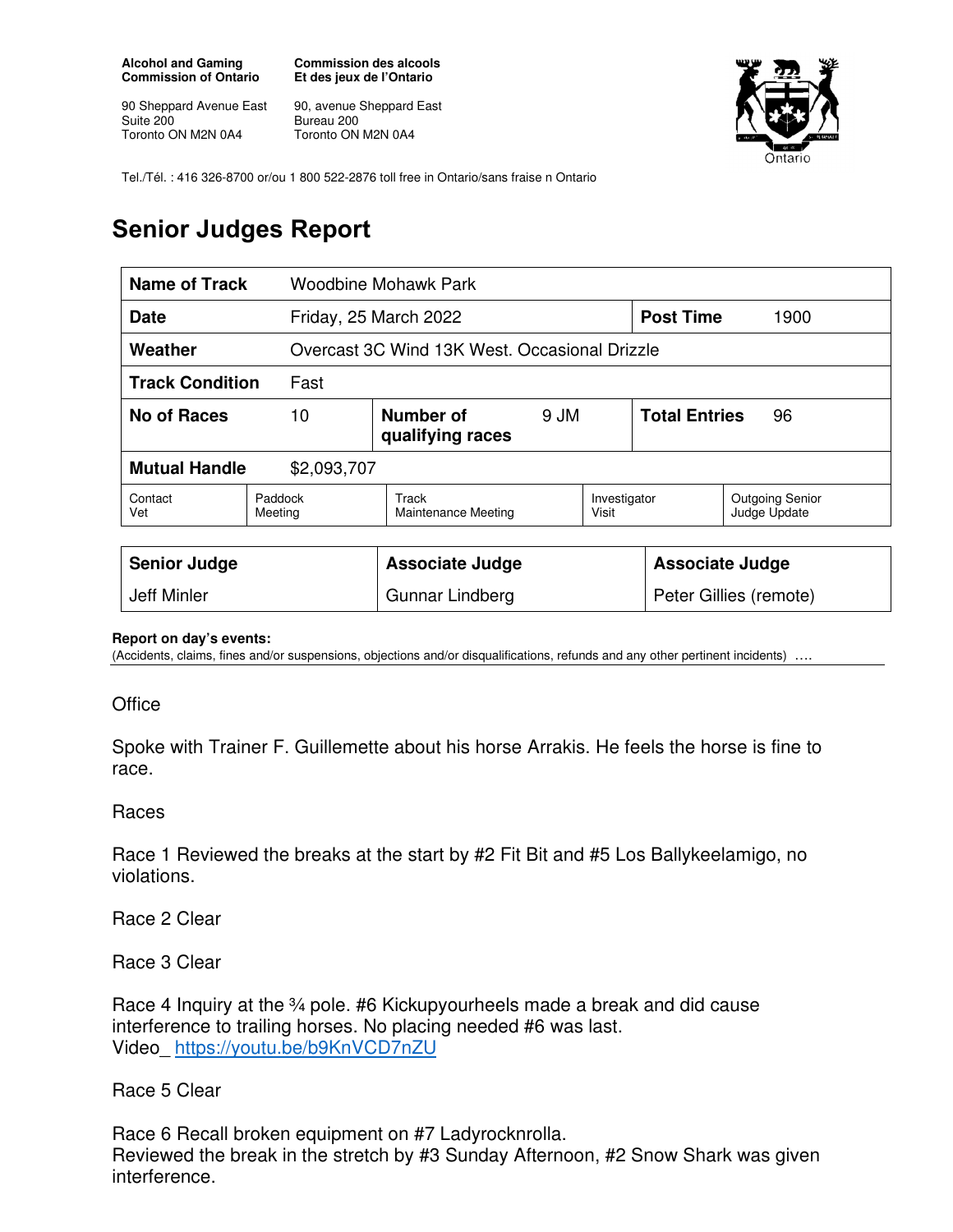**Alcohol and Gaming Commission of Ontario** 

90 Sheppard Avenue East Suite 200 Toronto ON M2N 0A4

**Commission des alcools Et des jeux de l'Ontario** 

90, avenue Sheppard East Bureau 200 Toronto ON M2N 0A4



Tel./Tél. : 416 326-8700 or/ou 1 800 522-2876 toll free in Ontario/sans fraise n Ontario

## **Senior Judges Report**

| <b>Name of Track</b><br><b>Woodbine Mohawk Park</b> |                                             |                                               |  |                            |                  |                                        |  |
|-----------------------------------------------------|---------------------------------------------|-----------------------------------------------|--|----------------------------|------------------|----------------------------------------|--|
| <b>Date</b>                                         |                                             | Friday, 25 March 2022                         |  |                            | <b>Post Time</b> | 1900                                   |  |
| Weather                                             |                                             | Overcast 3C Wind 13K West, Occasional Drizzle |  |                            |                  |                                        |  |
| <b>Track Condition</b><br>Fast                      |                                             |                                               |  |                            |                  |                                        |  |
| No of Races                                         | Number of<br>10<br>9 JM<br>qualifying races |                                               |  | <b>Total Entries</b><br>96 |                  |                                        |  |
| <b>Mutual Handle</b><br>\$2,093,707                 |                                             |                                               |  |                            |                  |                                        |  |
| Contact<br>Vet                                      | Paddock<br>Meeting                          | Track<br>Maintenance Meeting                  |  | Investigator<br>Visit      |                  | <b>Outgoing Senior</b><br>Judge Update |  |
|                                                     |                                             |                                               |  |                            |                  |                                        |  |
| <b>Senior Judge</b>                                 |                                             | <b>Associate Judge</b>                        |  | <b>Associate Judge</b>     |                  |                                        |  |
| Jeff Minler                                         |                                             | Gunnar Lindberg                               |  | Peter Gillies (remote)     |                  |                                        |  |

## **Report on day's events:**

(Accidents, claims, fines and/or suspensions, objections and/or disqualifications, refunds and any other pertinent incidents) ….

## **Office**

Spoke with Trainer F. Guillemette about his horse Arrakis. He feels the horse is fine to race.

## Races

Race 1 Reviewed the breaks at the start by #2 Fit Bit and #5 Los Ballykeelamigo, no violations.

Race 2 Clear

Race 3 Clear

Race 4 Inquiry at the 34 pole. #6 Kickupyourheels made a break and did cause interference to trailing horses. No placing needed #6 was last. Video\_ https://youtu.be/b9KnVCD7nZU

Race 5 Clear

Race 6 Recall broken equipment on #7 Ladyrocknrolla. Reviewed the break in the stretch by #3 Sunday Afternoon, #2 Snow Shark was given interference.